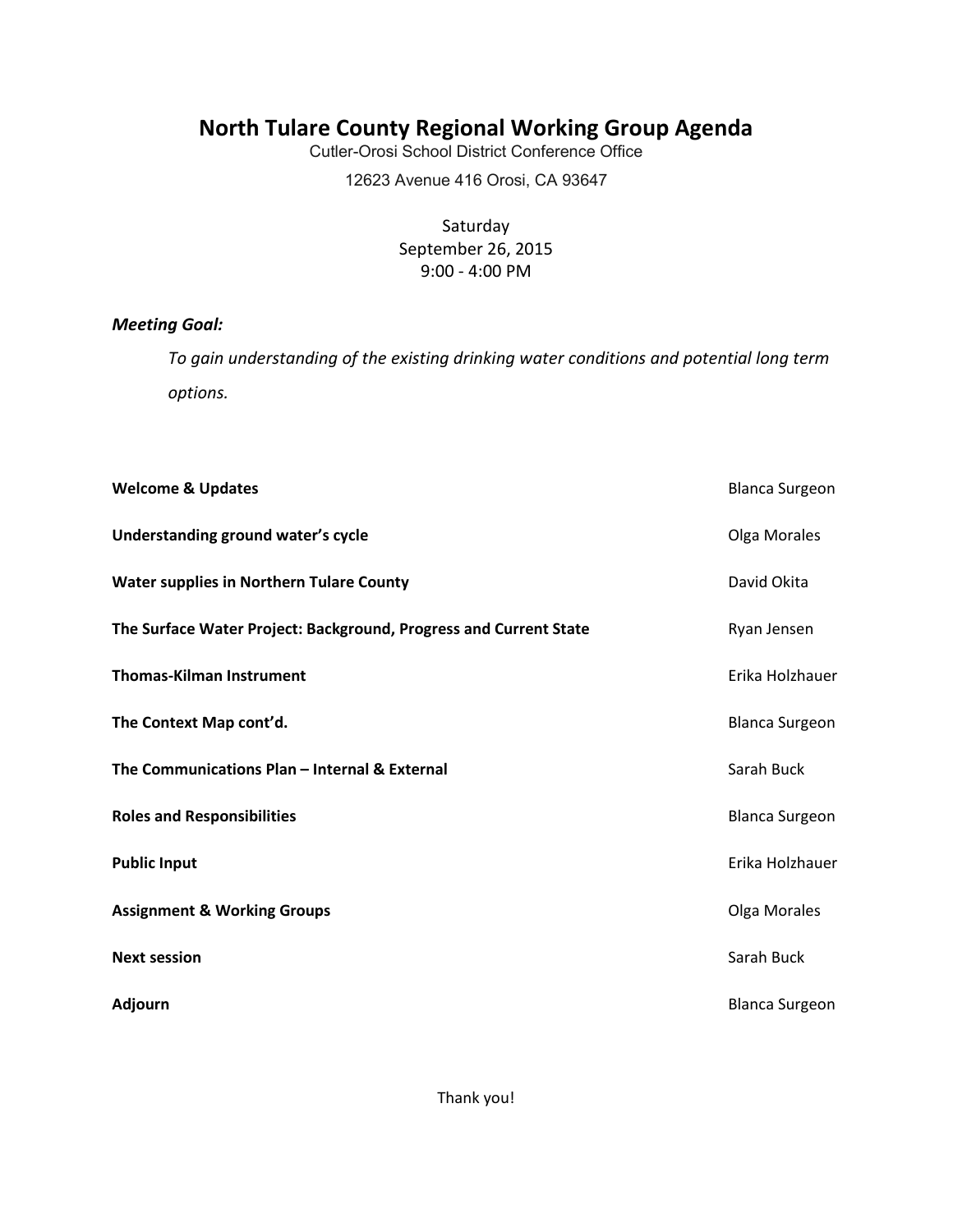## **North Tulare County Regional Working Group Agenda**

Cutler-Orosi School District Conference Office

12623 Avenue 416 Orosi, CA 93647

Saturday September 26, 2015 9:00 - 4:00 PM

### *Meeting Goal:*

*To gain understanding of the existing drinking water conditions and potential long term options.* 

| <b>Welcome &amp; Updates</b>                                      | <b>Blanca Surgeon</b> |
|-------------------------------------------------------------------|-----------------------|
| Understanding ground water's cycle                                | Olga Morales          |
| <b>Water supplies in Northern Tulare County</b>                   | David Okita           |
| The Surface Water Project: Background, Progress and Current State | Ryan Jensen           |
| <b>Thomas-Kilman Instrument</b>                                   | Erika Holzhauer       |
| The Context Map cont'd.                                           | <b>Blanca Surgeon</b> |
| The Communications Plan - Internal & External                     | Sarah Buck            |
| <b>Roles and Responsibilities</b>                                 | <b>Blanca Surgeon</b> |
| <b>Public Input</b>                                               | Erika Holzhauer       |
| <b>Assignment &amp; Working Groups</b>                            | Olga Morales          |
| <b>Next session</b>                                               | Sarah Buck            |
| <b>Adjourn</b>                                                    | <b>Blanca Surgeon</b> |

Thank you!